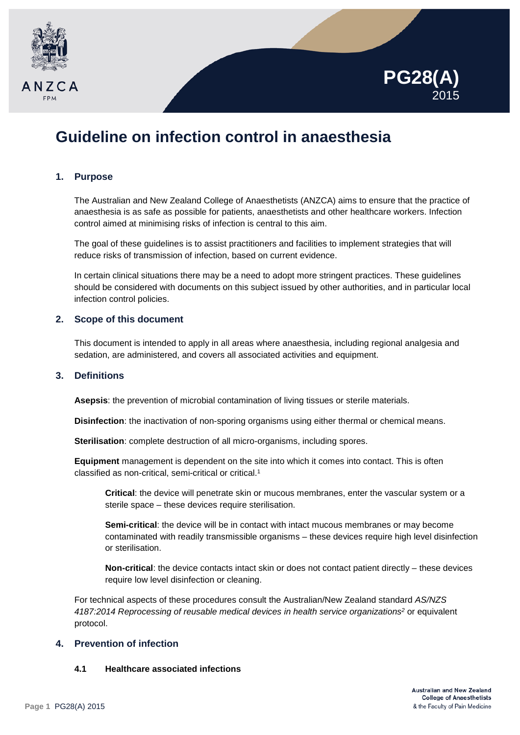



# **Guideline on infection control in anaesthesia**

# **1. Purpose**

The Australian and New Zealand College of Anaesthetists (ANZCA) aims to ensure that the practice of anaesthesia is as safe as possible for patients, anaesthetists and other healthcare workers. Infection control aimed at minimising risks of infection is central to this aim.

The goal of these guidelines is to assist practitioners and facilities to implement strategies that will reduce risks of transmission of infection, based on current evidence.

In certain clinical situations there may be a need to adopt more stringent practices. These guidelines should be considered with documents on this subject issued by other authorities, and in particular local infection control policies.

# **2. Scope of this document**

This document is intended to apply in all areas where anaesthesia, including regional analgesia and sedation, are administered, and covers all associated activities and equipment.

# **3. Definitions**

Asepsis: the prevention of microbial contamination of living tissues or sterile materials.

**Disinfection**: the inactivation of non-sporing organisms using either thermal or chemical means.

**Sterilisation**: complete destruction of all micro-organisms, including spores.

**Equipment** management is dependent on the site into which it comes into contact. This is often classified as non-critical, semi-critical or critical.1

**Critical**: the device will penetrate skin or mucous membranes, enter the vascular system or a sterile space – these devices require sterilisation.

**Semi-critical**: the device will be in contact with intact mucous membranes or may become contaminated with readily transmissible organisms – these devices require high level disinfection or sterilisation.

**Non-critical**: the device contacts intact skin or does not contact patient directly – these devices require low level disinfection or cleaning.

For technical aspects of these procedures consult the Australian/New Zealand standard *AS/NZS 4187:2014 Reprocessing of reusable medical devices in health service organizations2* or equivalent protocol.

# **4. Prevention of infection**

# **4.1 Healthcare associated infections**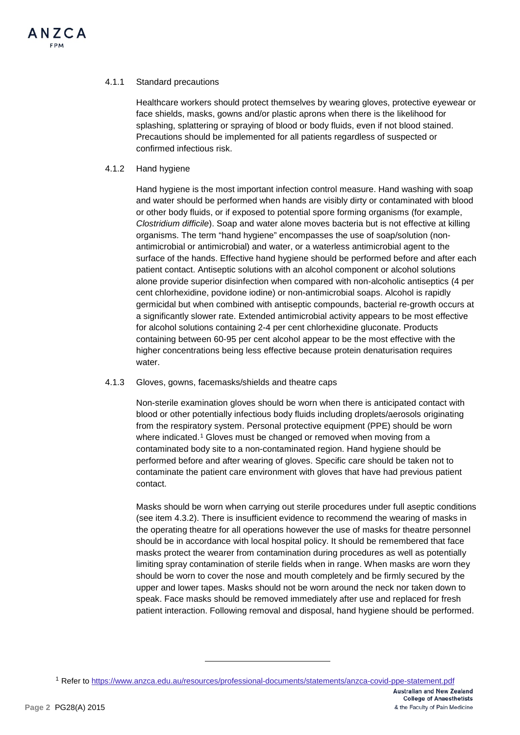## 4.1.1 Standard precautions

Healthcare workers should protect themselves by wearing gloves, protective eyewear or face shields, masks, gowns and/or plastic aprons when there is the likelihood for splashing, splattering or spraying of blood or body fluids, even if not blood stained. Precautions should be implemented for all patients regardless of suspected or confirmed infectious risk.

## 4.1.2 Hand hygiene

Hand hygiene is the most important infection control measure. Hand washing with soap and water should be performed when hands are visibly dirty or contaminated with blood or other body fluids, or if exposed to potential spore forming organisms (for example, *Clostridium difficile*). Soap and water alone moves bacteria but is not effective at killing organisms. The term "hand hygiene" encompasses the use of soap/solution (nonantimicrobial or antimicrobial) and water, or a waterless antimicrobial agent to the surface of the hands. Effective hand hygiene should be performed before and after each patient contact. Antiseptic solutions with an alcohol component or alcohol solutions alone provide superior disinfection when compared with non-alcoholic antiseptics (4 per cent chlorhexidine, povidone iodine) or non-antimicrobial soaps. Alcohol is rapidly germicidal but when combined with antiseptic compounds, bacterial re-growth occurs at a significantly slower rate. Extended antimicrobial activity appears to be most effective for alcohol solutions containing 2-4 per cent chlorhexidine gluconate. Products containing between 60-95 per cent alcohol appear to be the most effective with the higher concentrations being less effective because protein denaturisation requires water.

#### 4.1.3 Gloves, gowns, facemasks/shields and theatre caps

Non-sterile examination gloves should be worn when there is anticipated contact with blood or other potentially infectious body fluids including droplets/aerosols originating from the respiratory system. Personal protective equipment (PPE) should be worn where indicated.[1](#page-1-0) Gloves must be changed or removed when moving from a contaminated body site to a non-contaminated region. Hand hygiene should be performed before and after wearing of gloves. Specific care should be taken not to contaminate the patient care environment with gloves that have had previous patient contact.

Masks should be worn when carrying out sterile procedures under full aseptic conditions (see item 4.3.2). There is insufficient evidence to recommend the wearing of masks in the operating theatre for all operations however the use of masks for theatre personnel should be in accordance with local hospital policy. It should be remembered that face masks protect the wearer from contamination during procedures as well as potentially limiting spray contamination of sterile fields when in range. When masks are worn they should be worn to cover the nose and mouth completely and be firmly secured by the upper and lower tapes. Masks should not be worn around the neck nor taken down to speak. Face masks should be removed immediately after use and replaced for fresh patient interaction. Following removal and disposal, hand hygiene should be performed.

-

<span id="page-1-0"></span><sup>1</sup> Refer t[o https://www.anzca.edu.au/resources/professional-documents/statements/anzca-covid-ppe-statement.pdf](https://www.anzca.edu.au/resources/professional-documents/statements/anzca-covid-ppe-statement.pdf)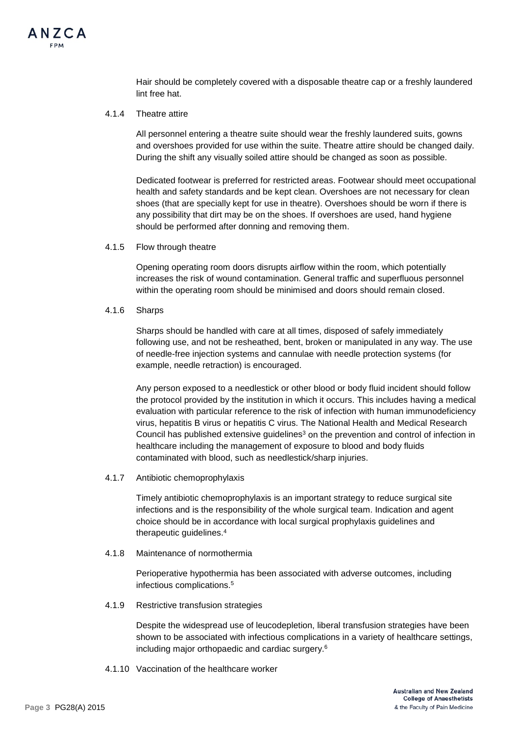

Hair should be completely covered with a disposable theatre cap or a freshly laundered lint free hat.

#### 4.1.4 Theatre attire

All personnel entering a theatre suite should wear the freshly laundered suits, gowns and overshoes provided for use within the suite. Theatre attire should be changed daily. During the shift any visually soiled attire should be changed as soon as possible.

Dedicated footwear is preferred for restricted areas. Footwear should meet occupational health and safety standards and be kept clean. Overshoes are not necessary for clean shoes (that are specially kept for use in theatre). Overshoes should be worn if there is any possibility that dirt may be on the shoes. If overshoes are used, hand hygiene should be performed after donning and removing them.

4.1.5 Flow through theatre

Opening operating room doors disrupts airflow within the room, which potentially increases the risk of wound contamination. General traffic and superfluous personnel within the operating room should be minimised and doors should remain closed.

4.1.6 Sharps

Sharps should be handled with care at all times, disposed of safely immediately following use, and not be resheathed, bent, broken or manipulated in any way. The use of needle-free injection systems and cannulae with needle protection systems (for example, needle retraction) is encouraged.

Any person exposed to a needlestick or other blood or body fluid incident should follow the protocol provided by the institution in which it occurs. This includes having a medical evaluation with particular reference to the risk of infection with human immunodeficiency virus, hepatitis B virus or hepatitis C virus. The National Health and Medical Research Council has published extensive guidelines<sup>3</sup> on the prevention and control of infection in healthcare including the management of exposure to blood and body fluids contaminated with blood, such as needlestick/sharp injuries.

4.1.7 Antibiotic chemoprophylaxis

Timely antibiotic chemoprophylaxis is an important strategy to reduce surgical site infections and is the responsibility of the whole surgical team. Indication and agent choice should be in accordance with local surgical prophylaxis guidelines and therapeutic guidelines.4

4.1.8 Maintenance of normothermia

Perioperative hypothermia has been associated with adverse outcomes, including infectious complications.5

4.1.9 Restrictive transfusion strategies

Despite the widespread use of leucodepletion, liberal transfusion strategies have been shown to be associated with infectious complications in a variety of healthcare settings, including major orthopaedic and cardiac surgery.6

4.1.10 Vaccination of the healthcare worker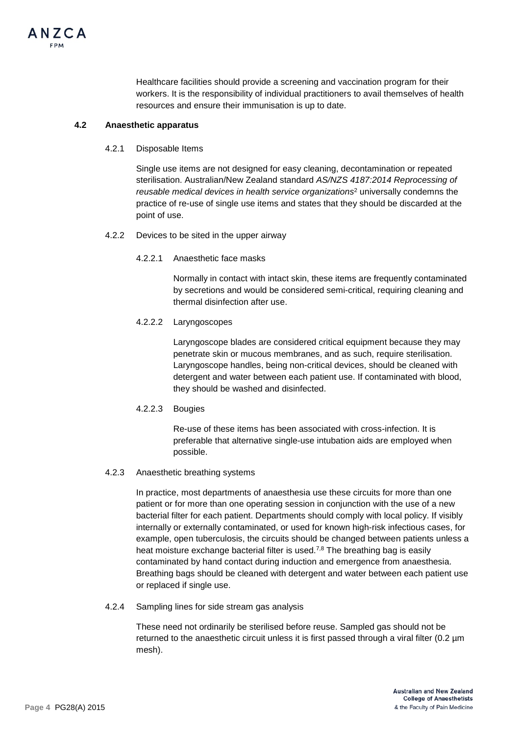

Healthcare facilities should provide a screening and vaccination program for their workers. It is the responsibility of individual practitioners to avail themselves of health resources and ensure their immunisation is up to date.

#### **4.2 Anaesthetic apparatus**

4.2.1 Disposable Items

Single use items are not designed for easy cleaning, decontamination or repeated sterilisation. Australian/New Zealand standard *AS/NZS 4187:2014 Reprocessing of reusable medical devices in health service organizations*<sup>2</sup> universally condemns the practice of re-use of single use items and states that they should be discarded at the point of use.

- 4.2.2 Devices to be sited in the upper airway
	- 4.2.2.1 Anaesthetic face masks

Normally in contact with intact skin, these items are frequently contaminated by secretions and would be considered semi-critical, requiring cleaning and thermal disinfection after use.

### 4.2.2.2 Laryngoscopes

Laryngoscope blades are considered critical equipment because they may penetrate skin or mucous membranes, and as such, require sterilisation. Laryngoscope handles, being non-critical devices, should be cleaned with detergent and water between each patient use. If contaminated with blood, they should be washed and disinfected.

# 4.2.2.3 Bougies

Re-use of these items has been associated with cross-infection. It is preferable that alternative single-use intubation aids are employed when possible.

# 4.2.3 Anaesthetic breathing systems

In practice, most departments of anaesthesia use these circuits for more than one patient or for more than one operating session in conjunction with the use of a new bacterial filter for each patient. Departments should comply with local policy. If visibly internally or externally contaminated, or used for known high-risk infectious cases, for example, open tuberculosis, the circuits should be changed between patients unless a heat moisture exchange bacterial filter is used.<sup>7,8</sup> The breathing bag is easily contaminated by hand contact during induction and emergence from anaesthesia. Breathing bags should be cleaned with detergent and water between each patient use or replaced if single use.

4.2.4 Sampling lines for side stream gas analysis

These need not ordinarily be sterilised before reuse. Sampled gas should not be returned to the anaesthetic circuit unless it is first passed through a viral filter (0.2 µm mesh).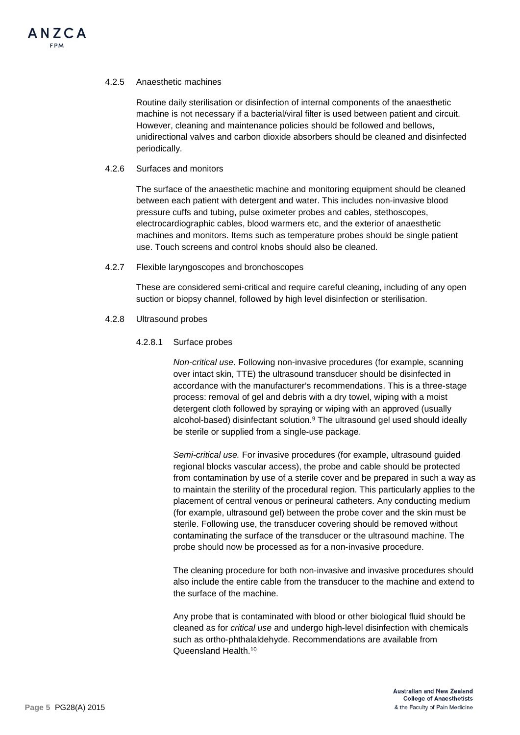#### 4.2.5 Anaesthetic machines

Routine daily sterilisation or disinfection of internal components of the anaesthetic machine is not necessary if a bacterial/viral filter is used between patient and circuit. However, cleaning and maintenance policies should be followed and bellows, unidirectional valves and carbon dioxide absorbers should be cleaned and disinfected periodically.

#### 4.2.6 Surfaces and monitors

The surface of the anaesthetic machine and monitoring equipment should be cleaned between each patient with detergent and water. This includes non-invasive blood pressure cuffs and tubing, pulse oximeter probes and cables, stethoscopes, electrocardiographic cables, blood warmers etc, and the exterior of anaesthetic machines and monitors. Items such as temperature probes should be single patient use. Touch screens and control knobs should also be cleaned.

### 4.2.7 Flexible laryngoscopes and bronchoscopes

These are considered semi-critical and require careful cleaning, including of any open suction or biopsy channel, followed by high level disinfection or sterilisation.

### 4.2.8 Ultrasound probes

### 4.2.8.1 Surface probes

*Non-critical use*. Following non-invasive procedures (for example, scanning over intact skin, TTE) the ultrasound transducer should be disinfected in accordance with the manufacturer's recommendations. This is a three-stage process: removal of gel and debris with a dry towel, wiping with a moist detergent cloth followed by spraying or wiping with an approved (usually alcohol-based) disinfectant solution.<sup>9</sup> The ultrasound gel used should ideally be sterile or supplied from a single-use package.

*Semi-critical use.* For invasive procedures (for example, ultrasound guided regional blocks vascular access), the probe and cable should be protected from contamination by use of a sterile cover and be prepared in such a way as to maintain the sterility of the procedural region. This particularly applies to the placement of central venous or perineural catheters. Any conducting medium (for example, ultrasound gel) between the probe cover and the skin must be sterile. Following use, the transducer covering should be removed without contaminating the surface of the transducer or the ultrasound machine. The probe should now be processed as for a non-invasive procedure.

The cleaning procedure for both non-invasive and invasive procedures should also include the entire cable from the transducer to the machine and extend to the surface of the machine.

Any probe that is contaminated with blood or other biological fluid should be cleaned as for *critical use* and undergo high-level disinfection with chemicals such as ortho-phthalaldehyde. Recommendations are available from Queensland Health.10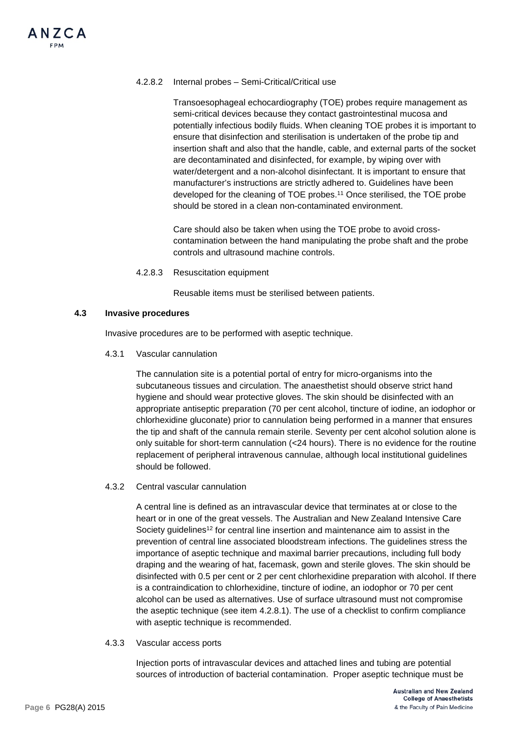## 4.2.8.2 Internal probes – Semi-Critical/Critical use

Transoesophageal echocardiography (TOE) probes require management as semi-critical devices because they contact gastrointestinal mucosa and potentially infectious bodily fluids. When cleaning TOE probes it is important to ensure that disinfection and sterilisation is undertaken of the probe tip and insertion shaft and also that the handle, cable, and external parts of the socket are decontaminated and disinfected, for example, by wiping over with water/detergent and a non-alcohol disinfectant. It is important to ensure that manufacturer's instructions are strictly adhered to. Guidelines have been developed for the cleaning of TOE probes.11 Once sterilised, the TOE probe should be stored in a clean non-contaminated environment.

Care should also be taken when using the TOE probe to avoid crosscontamination between the hand manipulating the probe shaft and the probe controls and ultrasound machine controls.

4.2.8.3 Resuscitation equipment

Reusable items must be sterilised between patients.

#### **4.3 Invasive procedures**

Invasive procedures are to be performed with aseptic technique.

4.3.1 Vascular cannulation

The cannulation site is a potential portal of entry for micro-organisms into the subcutaneous tissues and circulation. The anaesthetist should observe strict hand hygiene and should wear protective gloves. The skin should be disinfected with an appropriate antiseptic preparation (70 per cent alcohol, tincture of iodine, an iodophor or chlorhexidine gluconate) prior to cannulation being performed in a manner that ensures the tip and shaft of the cannula remain sterile. Seventy per cent alcohol solution alone is only suitable for short-term cannulation (<24 hours). There is no evidence for the routine replacement of peripheral intravenous cannulae, although local institutional guidelines should be followed.

4.3.2 Central vascular cannulation

A central line is defined as an intravascular device that terminates at or close to the heart or in one of the great vessels. The Australian and New Zealand Intensive Care Society guidelines<sup>12</sup> for central line insertion and maintenance aim to assist in the prevention of central line associated bloodstream infections. The guidelines stress the importance of aseptic technique and maximal barrier precautions, including full body draping and the wearing of hat, facemask, gown and sterile gloves. The skin should be disinfected with 0.5 per cent or 2 per cent chlorhexidine preparation with alcohol. If there is a contraindication to chlorhexidine, tincture of iodine, an iodophor or 70 per cent alcohol can be used as alternatives. Use of surface ultrasound must not compromise the aseptic technique (see item 4.2.8.1). The use of a checklist to confirm compliance with aseptic technique is recommended.

4.3.3 Vascular access ports

Injection ports of intravascular devices and attached lines and tubing are potential sources of introduction of bacterial contamination. Proper aseptic technique must be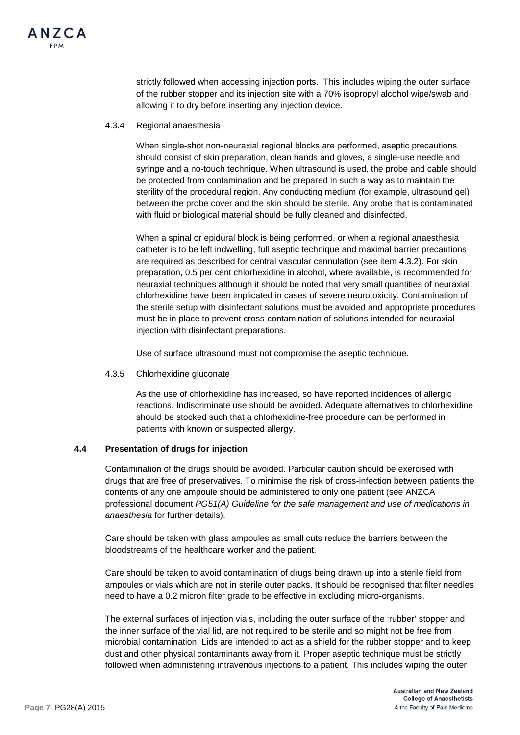strictly followed when accessing injection ports. This includes wiping the outer surface of the rubber stopper and its injection site with a 70% isopropyl alcohol wipe/swab and allowing it to dry before inserting any injection device.

#### 4.3.4 Regional anaesthesia

When single-shot non-neuraxial regional blocks are performed, aseptic precautions should consist of skin preparation, clean hands and gloves, a single-use needle and syringe and a no-touch technique. When ultrasound is used, the probe and cable should be protected from contamination and be prepared in such a way as to maintain the sterility of the procedural region. Any conducting medium (for example, ultrasound gel) between the probe cover and the skin should be sterile. Any probe that is contaminated with fluid or biological material should be fully cleaned and disinfected.

When a spinal or epidural block is being performed, or when a regional anaesthesia catheter is to be left indwelling, full aseptic technique and maximal barrier precautions are required as described for central vascular cannulation (see item 4.3.2). For skin preparation, 0.5 per cent chlorhexidine in alcohol, where available, is recommended for neuraxial techniques although it should be noted that very small quantities of neuraxial chlorhexidine have been implicated in cases of severe neurotoxicity. Contamination of the sterile setup with disinfectant solutions must be avoided and appropriate procedures must be in place to prevent cross-contamination of solutions intended for neuraxial injection with disinfectant preparations.

Use of surface ultrasound must not compromise the aseptic technique.

# 4.3.5 Chlorhexidine gluconate

As the use of chlorhexidine has increased, so have reported incidences of allergic reactions. Indiscriminate use should be avoided. Adequate alternatives to chlorhexidine should be stocked such that a chlorhexidine-free procedure can be performed in patients with known or suspected allergy.

# **4.4 Presentation of drugs for injection**

Contamination of the drugs should be avoided. Particular caution should be exercised with drugs that are free of preservatives. To minimise the risk of cross-infection between patients the contents of any one ampoule should be administered to only one patient (see ANZCA professional document *PG51(A) Guideline for the safe management and use of medications in anaesthesia* for further details).

Care should be taken with glass ampoules as small cuts reduce the barriers between the bloodstreams of the healthcare worker and the patient.

Care should be taken to avoid contamination of drugs being drawn up into a sterile field from ampoules or vials which are not in sterile outer packs. It should be recognised that filter needles need to have a 0.2 micron filter grade to be effective in excluding micro-organisms.

The external surfaces of injection vials, including the outer surface of the 'rubber' stopper and the inner surface of the vial lid, are not required to be sterile and so might not be free from microbial contamination. Lids are intended to act as a shield for the rubber stopper and to keep dust and other physical contaminants away from it. Proper aseptic technique must be strictly followed when administering intravenous injections to a patient. This includes wiping the outer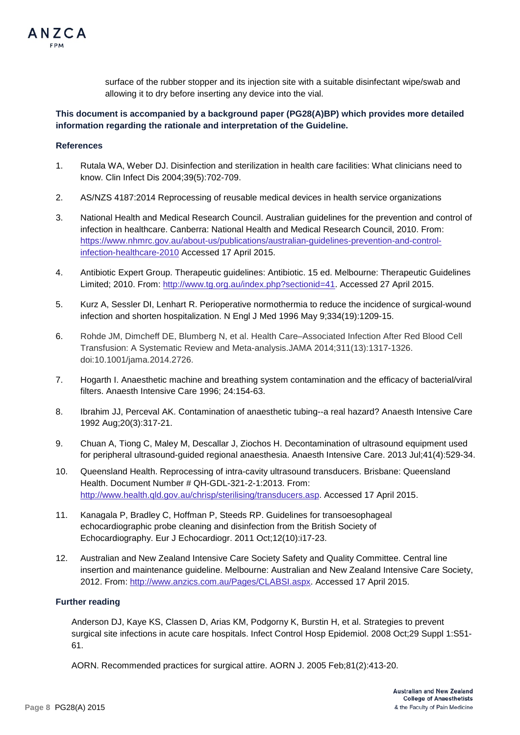

allowing it to dry before inserting any device into the vial.

# **This document is accompanied by a background paper (PG28(A)BP) which provides more detailed information regarding the rationale and interpretation of the Guideline.**

## **References**

ANZCA

- 1. Rutala WA, Weber DJ. Disinfection and sterilization in health care facilities: What clinicians need to know. Clin Infect Dis 2004;39(5):702-709.
- 2. AS/NZS 4187:2014 Reprocessing of reusable medical devices in health service organizations
- 3. National Health and Medical Research Council. Australian guidelines for the prevention and control of infection in healthcare. Canberra: National Health and Medical Research Council, 2010. From: [https://www.nhmrc.gov.au/about-us/publications/australian-guidelines-prevention-and-control](https://www.nhmrc.gov.au/about-us/publications/australian-guidelines-prevention-and-control-infection-healthcare-2010)[infection-healthcare-2010](https://www.nhmrc.gov.au/about-us/publications/australian-guidelines-prevention-and-control-infection-healthcare-2010) Accessed 17 April 2015.
- 4. Antibiotic Expert Group. Therapeutic guidelines: Antibiotic. 15 ed. Melbourne: Therapeutic Guidelines Limited; 2010. From: [http://www.tg.org.au/index.php?sectionid=41.](http://www.tg.org.au/index.php?sectionid=41) Accessed 27 April 2015.
- 5. Kurz A, Sessler DI, Lenhart R. Perioperative normothermia to reduce the incidence of surgical-wound infection and shorten hospitalization. N Engl J Med 1996 May 9;334(19):1209-15.
- 6. Rohde JM, Dimcheff DE, Blumberg N, et al. Health Care–Associated Infection After Red Blood Cell Transfusion: A Systematic Review and Meta-analysis.JAMA 2014;311(13):1317-1326. doi:10.1001/jama.2014.2726.
- 7. Hogarth I. Anaesthetic machine and breathing system contamination and the efficacy of bacterial/viral filters. Anaesth Intensive Care 1996; 24:154-63.
- 8. Ibrahim JJ, Perceval AK. Contamination of anaesthetic tubing--a real hazard? Anaesth Intensive Care 1992 Aug;20(3):317-21.
- 9. Chuan A, Tiong C, Maley M, Descallar J, Ziochos H. Decontamination of ultrasound equipment used for peripheral ultrasound-guided regional anaesthesia. Anaesth Intensive Care. 2013 Jul;41(4):529-34.
- 10. Queensland Health. Reprocessing of intra-cavity ultrasound transducers. Brisbane: Queensland Health. Document Number # QH-GDL-321-2-1:2013. From: [http://www.health.qld.gov.au/chrisp/sterilising/transducers.asp.](http://www.health.qld.gov.au/chrisp/sterilising/transducers.asp) Accessed 17 April 2015.
- 11. Kanagala P, Bradley C, Hoffman P, Steeds RP. Guidelines for transoesophageal echocardiographic probe cleaning and disinfection from the British Society of Echocardiography. Eur J Echocardiogr. 2011 Oct;12(10):i17-23.
- 12. Australian and New Zealand Intensive Care Society Safety and Quality Committee. Central line insertion and maintenance guideline. Melbourne: Australian and New Zealand Intensive Care Society, 2012. From: [http://www.anzics.com.au/Pages/CLABSI.aspx.](http://www.anzics.com.au/Pages/CLABSI.aspx) Accessed 17 April 2015.

#### **Further reading**

Anderson DJ, Kaye KS, Classen D, Arias KM, Podgorny K, Burstin H, et al. Strategies to prevent surgical site infections in acute care hospitals. Infect Control Hosp Epidemiol. 2008 Oct;29 Suppl 1:S51- 61.

AORN. Recommended practices for surgical attire. AORN J. 2005 Feb;81(2):413-20.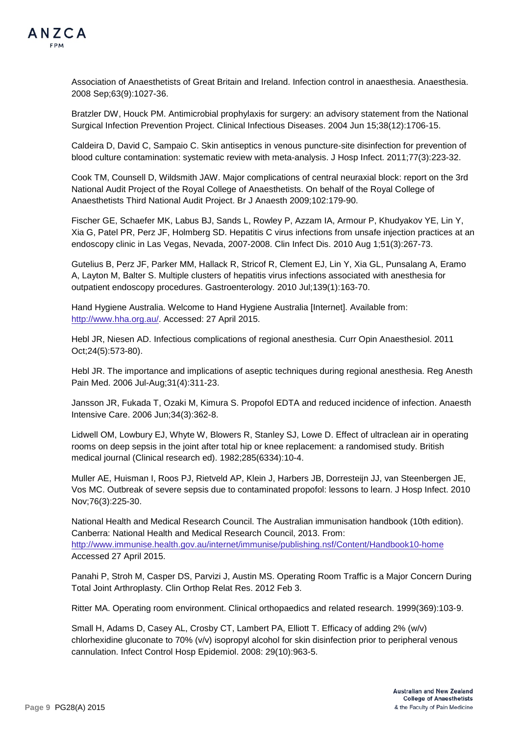

Association of Anaesthetists of Great Britain and Ireland. Infection control in anaesthesia. Anaesthesia. 2008 Sep;63(9):1027-36.

Bratzler DW, Houck PM. Antimicrobial prophylaxis for surgery: an advisory statement from the National Surgical Infection Prevention Project. Clinical Infectious Diseases. 2004 Jun 15;38(12):1706-15.

Caldeira D, David C, Sampaio C. Skin antiseptics in venous puncture-site disinfection for prevention of blood culture contamination: systematic review with meta-analysis. J Hosp Infect. 2011;77(3):223-32.

Cook TM, Counsell D, Wildsmith JAW. Major complications of central neuraxial block: report on the 3rd National Audit Project of the Royal College of Anaesthetists. On behalf of the Royal College of Anaesthetists Third National Audit Project. Br J Anaesth 2009;102:179-90.

Fischer GE, Schaefer MK, Labus BJ, Sands L, Rowley P, Azzam IA, Armour P, Khudyakov YE, Lin Y, Xia G, Patel PR, Perz JF, Holmberg SD. Hepatitis C virus infections from unsafe injection practices at an endoscopy clinic in Las Vegas, Nevada, 2007-2008. Clin Infect Dis. 2010 Aug 1;51(3):267-73.

Gutelius B, Perz JF, Parker MM, Hallack R, Stricof R, Clement EJ, Lin Y, Xia GL, Punsalang A, Eramo A, Layton M, Balter S. Multiple clusters of hepatitis virus infections associated with anesthesia for outpatient endoscopy procedures. Gastroenterology. 2010 Jul;139(1):163-70.

Hand Hygiene Australia. Welcome to Hand Hygiene Australia [Internet]. Available from: [http://www.hha.org.au/.](http://www.hha.org.au/) Accessed: 27 April 2015.

Hebl JR, Niesen AD. Infectious complications of regional anesthesia. Curr Opin Anaesthesiol. 2011 Oct;24(5):573-80).

Hebl JR. The importance and implications of aseptic techniques during regional anesthesia. Reg Anesth Pain Med. 2006 Jul-Aug;31(4):311-23.

Jansson JR, Fukada T, Ozaki M, Kimura S. Propofol EDTA and reduced incidence of infection. Anaesth Intensive Care. 2006 Jun;34(3):362-8.

Lidwell OM, Lowbury EJ, Whyte W, Blowers R, Stanley SJ, Lowe D. Effect of ultraclean air in operating rooms on deep sepsis in the joint after total hip or knee replacement: a randomised study. British medical journal (Clinical research ed). 1982;285(6334):10-4.

Muller AE, Huisman I, Roos PJ, Rietveld AP, Klein J, Harbers JB, Dorresteijn JJ, van Steenbergen JE, Vos MC. Outbreak of severe sepsis due to contaminated propofol: lessons to learn. J Hosp Infect. 2010 Nov;76(3):225-30.

National Health and Medical Research Council. The Australian immunisation handbook (10th edition). Canberra: National Health and Medical Research Council, 2013. From: <http://www.immunise.health.gov.au/internet/immunise/publishing.nsf/Content/Handbook10-home> Accessed 27 April 2015.

Panahi P, Stroh M, Casper DS, Parvizi J, Austin MS. Operating Room Traffic is a Major Concern During Total Joint Arthroplasty. Clin Orthop Relat Res. 2012 Feb 3.

Ritter MA. Operating room environment. Clinical orthopaedics and related research. 1999(369):103-9.

Small H, Adams D, Casey AL, Crosby CT, Lambert PA, Elliott T. Efficacy of adding 2% (w/v) chlorhexidine gluconate to 70% (v/v) isopropyl alcohol for skin disinfection prior to peripheral venous cannulation. Infect Control Hosp Epidemiol. 2008: 29(10):963-5.